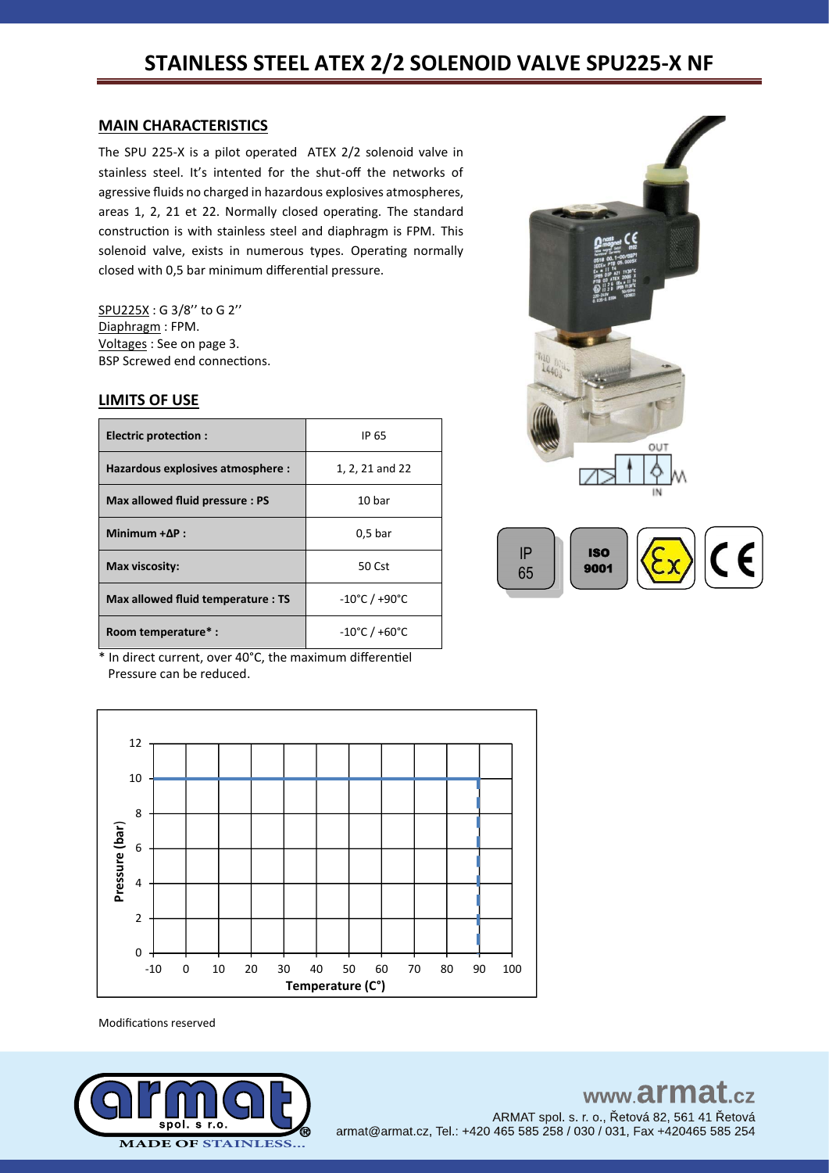# **STAINLESS STEEL ATEX 2/2 SOLENOID VALVE SPU225-X NF**

#### **MAIN CHARACTERISTICS**

The SPU 225-X is a pilot operated ATEX 2/2 solenoid valve in stainless steel. It's intented for the shut-off the networks of agressive fluids no charged in hazardous explosives atmospheres, areas 1, 2, 21 et 22. Normally closed operating. The standard construction is with stainless steel and diaphragm is FPM. This solenoid valve, exists in numerous types. Operating normally closed with 0,5 bar minimum differential pressure.

SPU225X : G 3/8'' to G 2'' Diaphragm : FPM. Voltages : See on page 3. BSP Screwed end connections.

#### **LIMITS OF USE**

| Electric protection :              | IP 65                              |
|------------------------------------|------------------------------------|
| Hazardous explosives atmosphere :  | 1, 2, 21 and 22                    |
| Max allowed fluid pressure: PS     | 10 bar                             |
| Minimum $+ \Delta P$ :             | 0.5 <sub>bar</sub>                 |
| Max viscosity:                     | 50 Cst                             |
| Max allowed fluid temperature : TS | $-10^{\circ}$ C / +90 $^{\circ}$ C |
| Room temperature*:                 | $-10^{\circ}$ C / +60 $^{\circ}$ C |



\* In direct current, over 40°C, the maximum differentiel Pressure can be reduced.

12 10 8 Pressure (bar) **Pressure (bar**) 6 4 2 0 -10 0 10 20 30 40 50 60 70 80 90 100 **Temperature (C°)**

Modifications reserved

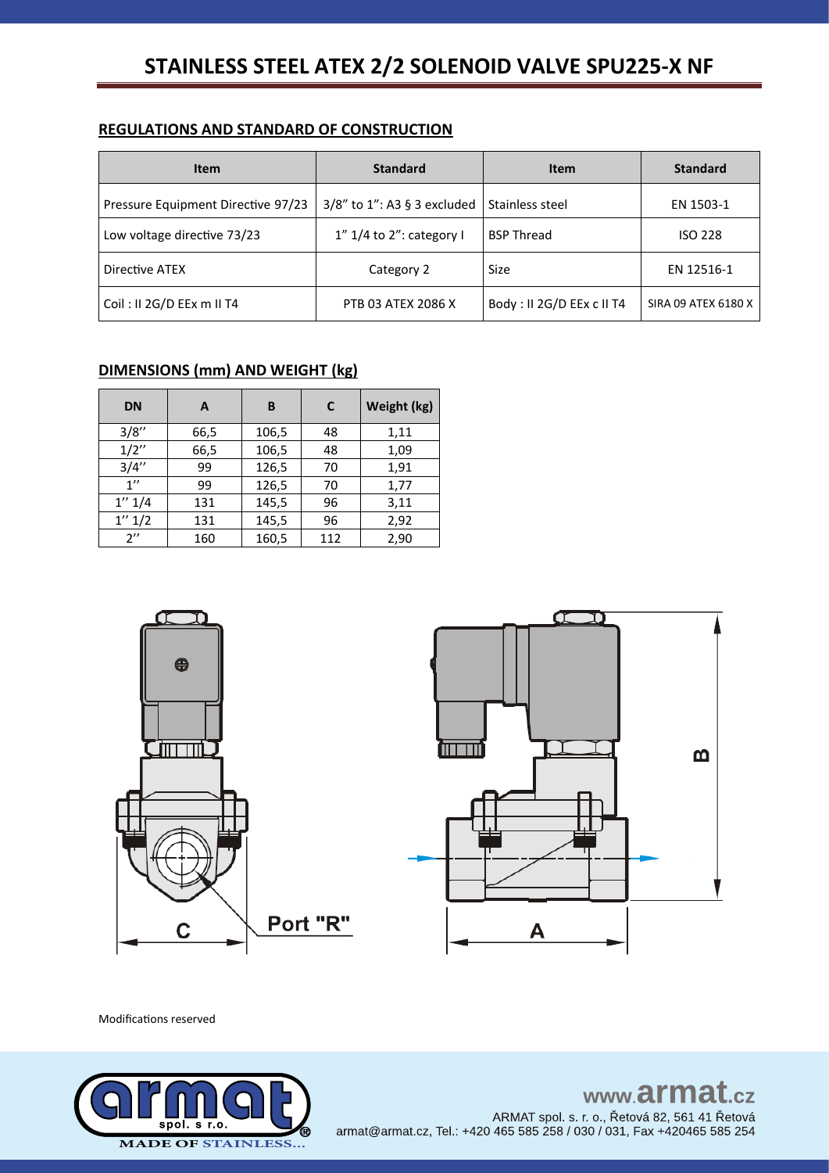# STAINLESS STEEL ATEX 2/2 SOLENOID VALVE SPU225-X NF

### **REGULATIONS AND STANDARD OF CONSTRUCTION**

| <b>Item</b>                        | <b>Standard</b>                 | <b>Item</b>               | <b>Standard</b>     |
|------------------------------------|---------------------------------|---------------------------|---------------------|
| Pressure Equipment Directive 97/23 | $3/8$ " to 1": A3 § 3 excluded  | Stainless steel           | EN 1503-1           |
| Low voltage directive 73/23        | $1''$ 1/4 to $2''$ : category I | <b>BSP Thread</b>         | <b>ISO 228</b>      |
| Directive ATEX                     | Category 2                      | <b>Size</b>               | EN 12516-1          |
| Coil: II 2G/D EEx m II T4          | PTB 03 ATEX 2086 X              | Body: II 2G/D EEx c II T4 | SIRA 09 ATEX 6180 X |

# **DIMENSIONS (mm) AND WEIGHT (kg)**

| <b>DN</b>          | A    | в     | C   | Weight (kg) |
|--------------------|------|-------|-----|-------------|
| 3/8''              | 66,5 | 106,5 | 48  | 1,11        |
| 1/2''              | 66,5 | 106,5 | 48  | 1,09        |
| 3/4''              | 99   | 126,5 | 70  | 1,91        |
| 1''                | 99   | 126,5 | 70  | 1,77        |
| 1'' 1/4            | 131  | 145,5 | 96  | 3,11        |
| 1'' 1/2            | 131  | 145,5 | 96  | 2,92        |
| $2^{\prime\prime}$ | 160  | 160,5 | 112 | 2,90        |



Modifications reserved



# www.armat.cz ARMAT spol. s. r. o., Řetová 82, 561 41 Řetová armat@armat.cz, Tel.: +420 465 585 258 / 030 / 031, Fax +420465 585 254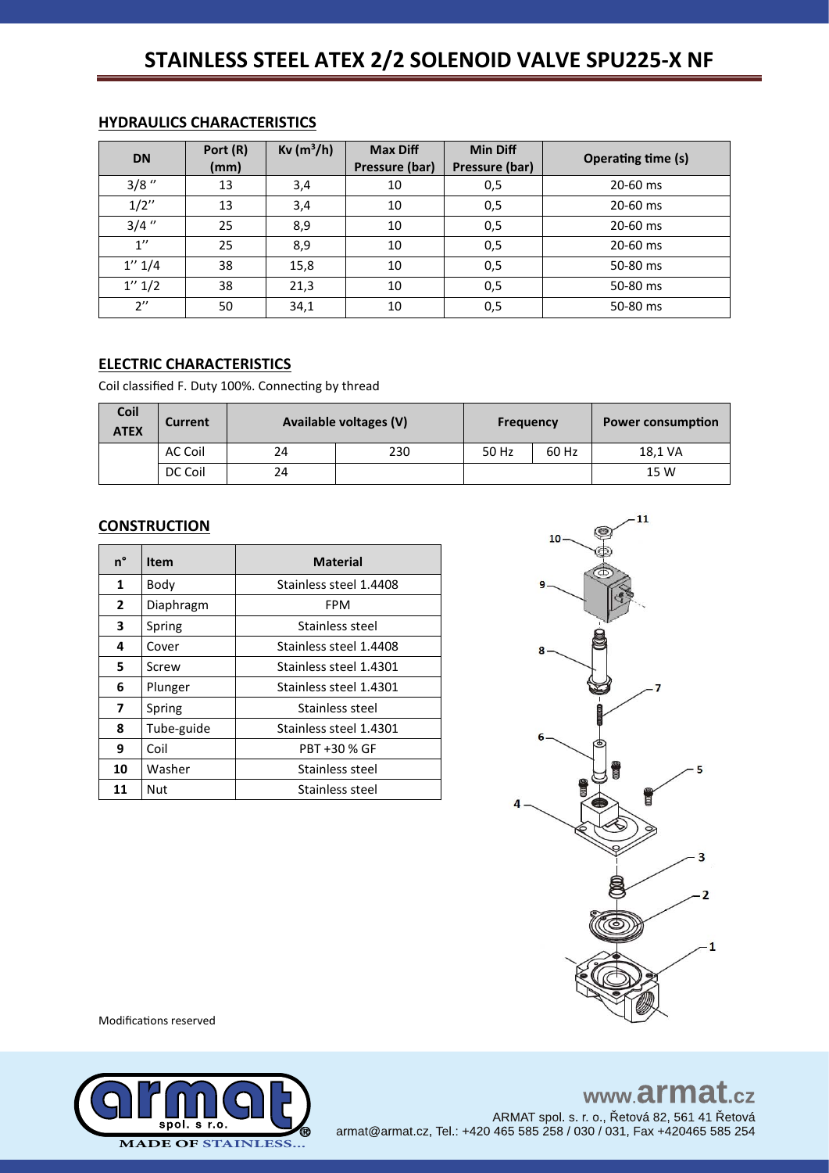# **STAINLESS STEEL ATEX 2/2 SOLENOID VALVE SPU225-X NF**

| <b>DN</b>          | Port (R)<br>(mm) | $Kv(m^3/h)$ | <b>Max Diff</b><br>Pressure (bar) | <b>Min Diff</b><br>Pressure (bar) | <b>Operating time (s)</b> |
|--------------------|------------------|-------------|-----------------------------------|-----------------------------------|---------------------------|
| $3/8$ "            | 13               | 3,4         | 10                                | 0,5                               | 20-60 ms                  |
| 1/2''              | 13               | 3,4         | 10                                | 0,5                               | 20-60 ms                  |
| $3/4$ "            | 25               | 8,9         | 10                                | 0,5                               | 20-60 ms                  |
| $1^{\prime\prime}$ | 25               | 8,9         | 10                                | 0,5                               | 20-60 ms                  |
| 1'' 1/4            | 38               | 15,8        | 10                                | 0,5                               | 50-80 ms                  |
| 1'' 1/2            | 38               | 21,3        | 10                                | 0,5                               | 50-80 ms                  |
| $2^{\prime\prime}$ | 50               | 34,1        | 10                                | 0,5                               | 50-80 ms                  |

## **HYDRAULICS CHARACTERISTICS**

# **ELECTRIC CHARACTERISTICS**

Coil classified F. Duty 100%. Connecting by thread

| Coil<br><b>ATEX</b> | Current | Available voltages (V) |     | <b>Frequency</b> |       | <b>Power consumption</b> |
|---------------------|---------|------------------------|-----|------------------|-------|--------------------------|
|                     | AC Coil | 24                     | 230 | 50 Hz            | 60 Hz | 18.1 VA                  |
|                     | DC Coil | 24                     |     |                  |       | 15 W                     |

#### **CONSTRUCTION**

| n°           | <b>Item</b> | <b>Material</b>        |  |  |
|--------------|-------------|------------------------|--|--|
| 1            | Body        | Stainless steel 1.4408 |  |  |
| $\mathbf{2}$ | Diaphragm   | FPM                    |  |  |
| 3            | Spring      | Stainless steel        |  |  |
| 4            | Cover       | Stainless steel 1.4408 |  |  |
| 5.           | Screw       | Stainless steel 1.4301 |  |  |
| 6            | Plunger     | Stainless steel 1.4301 |  |  |
| 7            | Spring      | Stainless steel        |  |  |
| 8            | Tube-guide  | Stainless steel 1.4301 |  |  |
| 9            | Coil        | PBT +30 % GF           |  |  |
| 10           | Washer      | Stainless steel        |  |  |
| 11           | Nut         | Stainless steel        |  |  |



Modifications reserved



# www.armat.cz

ARMAT spol. s. r. o., Řetová 82, 561 41 Řetová armat@armat.cz, Tel.: +420 465 585 258 / 030 / 031, Fax +420465 585 254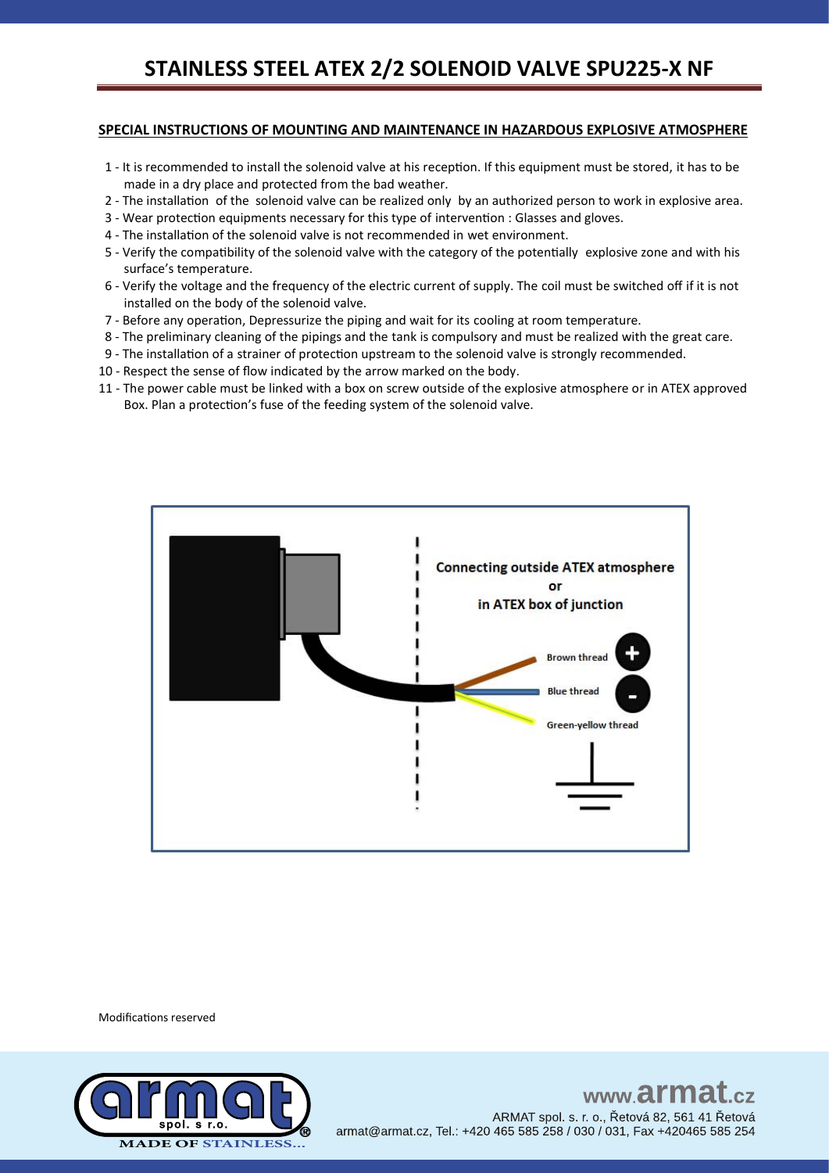#### **SPECIAL INSTRUCTIONS OF MOUNTING AND MAINTENANCE IN HAZARDOUS EXPLOSIVE ATMOSPHERE**

- 1 It is recommended to install the solenoid valve at his reception. If this equipment must be stored, it has to be made in a dry place and protected from the bad weather.
- 2 The installation of the solenoid valve can be realized only by an authorized person to work in explosive area.
- 3 Wear protection equipments necessary for this type of intervention : Glasses and gloves.
- 4 The installation of the solenoid valve is not recommended in wet environment.
- 5 Verify the compatibility of the solenoid valve with the category of the potentially explosive zone and with his surface's temperature.
- 6 Verify the voltage and the frequency of the electric current of supply. The coil must be switched off if it is not installed on the body of the solenoid valve.
- 7 Before any operation, Depressurize the piping and wait for its cooling at room temperature.
- 8 The preliminary cleaning of the pipings and the tank is compulsory and must be realized with the great care.
- 9 The installation of a strainer of protection upstream to the solenoid valve is strongly recommended.
- 10 Respect the sense of flow indicated by the arrow marked on the body.
- 11 The power cable must be linked with a box on screw outside of the explosive atmosphere or in ATEX approved Box. Plan a protection's fuse of the feeding system of the solenoid valve.



Modifications reserved